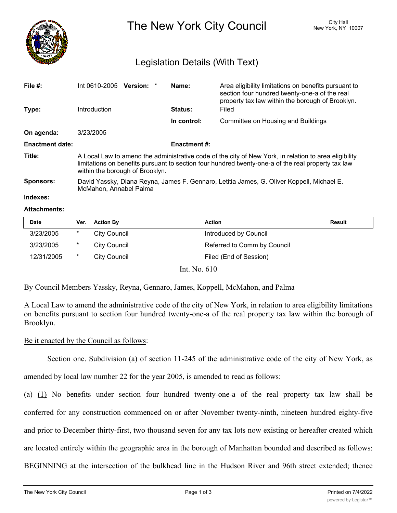

The New York City Council New York, NY 10007

# Legislation Details (With Text)

| File $#$ :             | Int 0610-2005 Version: *                                                                                                                                                                                                                       |  |  | Name:       | Area eligibility limitations on benefits pursuant to<br>section four hundred twenty-one-a of the real<br>property tax law within the borough of Brooklyn. |  |  |
|------------------------|------------------------------------------------------------------------------------------------------------------------------------------------------------------------------------------------------------------------------------------------|--|--|-------------|-----------------------------------------------------------------------------------------------------------------------------------------------------------|--|--|
| Type:                  | Introduction                                                                                                                                                                                                                                   |  |  | Status:     | Filed                                                                                                                                                     |  |  |
|                        |                                                                                                                                                                                                                                                |  |  | In control: | Committee on Housing and Buildings                                                                                                                        |  |  |
| On agenda:             | 3/23/2005                                                                                                                                                                                                                                      |  |  |             |                                                                                                                                                           |  |  |
| <b>Enactment date:</b> | <b>Enactment #:</b>                                                                                                                                                                                                                            |  |  |             |                                                                                                                                                           |  |  |
| Title:                 | A Local Law to amend the administrative code of the city of New York, in relation to area eligibility<br>limitations on benefits pursuant to section four hundred twenty-one-a of the real property tax law<br>within the borough of Brooklyn. |  |  |             |                                                                                                                                                           |  |  |
| <b>Sponsors:</b>       | David Yassky, Diana Reyna, James F. Gennaro, Letitia James, G. Oliver Koppell, Michael E.<br>McMahon, Annabel Palma                                                                                                                            |  |  |             |                                                                                                                                                           |  |  |
| Indexes:               |                                                                                                                                                                                                                                                |  |  |             |                                                                                                                                                           |  |  |

#### **Attachments:**

| <b>Date</b> | Ver.    | <b>Action By</b>    | <b>Action</b>               | Result |
|-------------|---------|---------------------|-----------------------------|--------|
| 3/23/2005   | *       | <b>City Council</b> | Introduced by Council       |        |
| 3/23/2005   | *       | City Council        | Referred to Comm by Council |        |
| 12/31/2005  | $\star$ | City Council        | Filed (End of Session)      |        |

Int. No. 610

By Council Members Yassky, Reyna, Gennaro, James, Koppell, McMahon, and Palma

A Local Law to amend the administrative code of the city of New York, in relation to area eligibility limitations on benefits pursuant to section four hundred twenty-one-a of the real property tax law within the borough of Brooklyn.

### Be it enacted by the Council as follows:

Section one. Subdivision (a) of section 11-245 of the administrative code of the city of New York, as

amended by local law number 22 for the year 2005, is amended to read as follows:

(a) (1) No benefits under section four hundred twenty-one-a of the real property tax law shall be conferred for any construction commenced on or after November twenty-ninth, nineteen hundred eighty-five and prior to December thirty-first, two thousand seven for any tax lots now existing or hereafter created which are located entirely within the geographic area in the borough of Manhattan bounded and described as follows: BEGINNING at the intersection of the bulkhead line in the Hudson River and 96th street extended; thence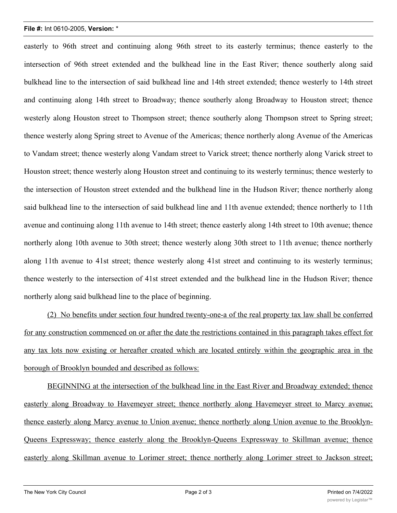# **File #:** Int 0610-2005, **Version:** \*

easterly to 96th street and continuing along 96th street to its easterly terminus; thence easterly to the intersection of 96th street extended and the bulkhead line in the East River; thence southerly along said bulkhead line to the intersection of said bulkhead line and 14th street extended; thence westerly to 14th street and continuing along 14th street to Broadway; thence southerly along Broadway to Houston street; thence westerly along Houston street to Thompson street; thence southerly along Thompson street to Spring street; thence westerly along Spring street to Avenue of the Americas; thence northerly along Avenue of the Americas to Vandam street; thence westerly along Vandam street to Varick street; thence northerly along Varick street to Houston street; thence westerly along Houston street and continuing to its westerly terminus; thence westerly to the intersection of Houston street extended and the bulkhead line in the Hudson River; thence northerly along said bulkhead line to the intersection of said bulkhead line and 11th avenue extended; thence northerly to 11th avenue and continuing along 11th avenue to 14th street; thence easterly along 14th street to 10th avenue; thence northerly along 10th avenue to 30th street; thence westerly along 30th street to 11th avenue; thence northerly along 11th avenue to 41st street; thence westerly along 41st street and continuing to its westerly terminus; thence westerly to the intersection of 41st street extended and the bulkhead line in the Hudson River; thence northerly along said bulkhead line to the place of beginning.

(2) No benefits under section four hundred twenty-one-a of the real property tax law shall be conferred for any construction commenced on or after the date the restrictions contained in this paragraph takes effect for any tax lots now existing or hereafter created which are located entirely within the geographic area in the borough of Brooklyn bounded and described as follows:

BEGINNING at the intersection of the bulkhead line in the East River and Broadway extended; thence easterly along Broadway to Havemeyer street; thence northerly along Havemeyer street to Marcy avenue; thence easterly along Marcy avenue to Union avenue; thence northerly along Union avenue to the Brooklyn-Queens Expressway; thence easterly along the Brooklyn-Queens Expressway to Skillman avenue; thence easterly along Skillman avenue to Lorimer street; thence northerly along Lorimer street to Jackson street;